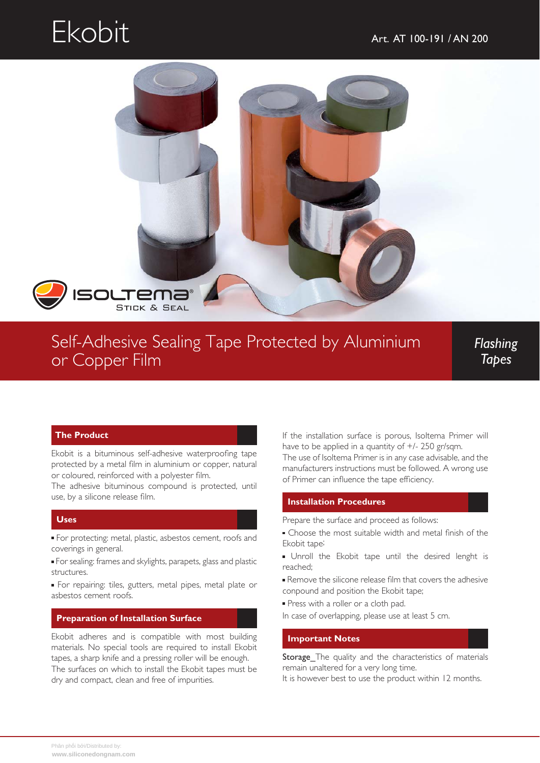# Ekobit Art. AT 100-191 / AN 200



### Self-Adhesive Sealing Tape Protected by Aluminium or Copper Film

*Flashing Tapes*

#### **The Product**

Ekobit is a bituminous self-adhesive waterproofing tape protected by a metal film in aluminium or copper, natural or coloured, reinforced with a polyester film.

The adhesive bituminous compound is protected, until use, by a silicone release film.

### **Uses**

For protecting: metal, plastic, asbestos cement, roofs and coverings in general.

For sealing: frames and skylights, parapets, glass and plastic structures.

For repairing: tiles, gutters, metal pipes, metal plate or asbestos cement roofs.

#### **Preparation of Installation Surface**

Ekobit adheres and is compatible with most building materials. No special tools are required to install Ekobit tapes, a sharp knife and a pressing roller will be enough. The surfaces on which to install the Ekobit tapes must be dry and compact, clean and free of impurities.

If the installation surface is porous, Isoltema Primer will have to be applied in a quantity of  $+/- 250$  gr/sqm.

The use of Isoltema Primer is in any case advisable, and the manufacturers instructions must be followed. A wrong use of Primer can influence the tape efficiency.

#### **Installation Procedures**

Prepare the surface and proceed as follows:

- Choose the most suitable width and metal finish of the Ekobit tape;
- **Unroll the Ekobit tape until the desired lenght is** reached;
- Remove the silicone release film that covers the adhesive conpound and position the Ekobit tape;
- **Press with a roller or a cloth pad.**
- In case of overlapping, please use at least 5 cm.

#### **Important Notes**

Storage\_The quality and the characteristics of materials remain unaltered for a very long time.

It is however best to use the product within 12 months.